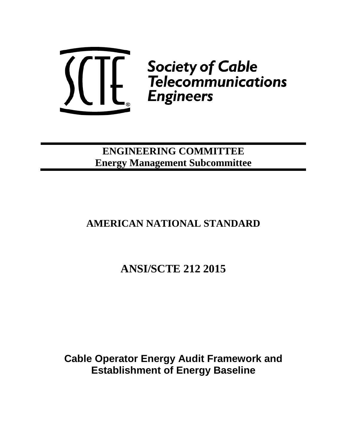

**ENGINEERING COMMITTEE Energy Management Subcommittee**

## **AMERICAN NATIONAL STANDARD**

# **ANSI/SCTE 212 2015**

**Cable Operator Energy Audit Framework and Establishment of Energy Baseline**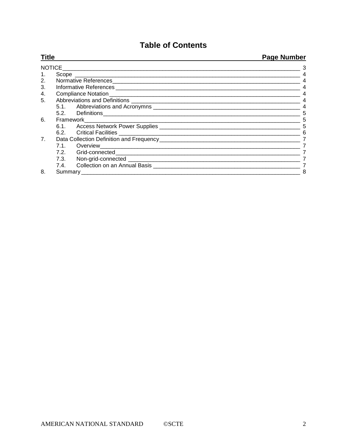## **Table of Contents**

| <b>Title</b> |  |  | <b>Page Number</b><br>3 |
|--------------|--|--|-------------------------|
|              |  |  |                         |
| 2.           |  |  |                         |
| 3.           |  |  |                         |
| 4.           |  |  |                         |
| 5.           |  |  | $\overline{4}$          |
|              |  |  | $\overline{4}$          |
|              |  |  | 5                       |
| 6.           |  |  | 5                       |
|              |  |  | 5                       |
|              |  |  | 6                       |
| 7.           |  |  |                         |
|              |  |  |                         |
|              |  |  |                         |
|              |  |  |                         |
|              |  |  |                         |
| 8.           |  |  | 8                       |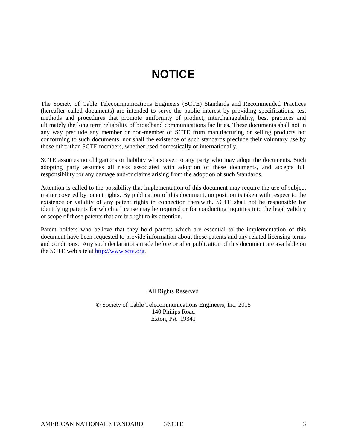# **NOTICE**

The Society of Cable Telecommunications Engineers (SCTE) Standards and Recommended Practices (hereafter called documents) are intended to serve the public interest by providing specifications, test methods and procedures that promote uniformity of product, interchangeability, best practices and ultimately the long term reliability of broadband communications facilities. These documents shall not in any way preclude any member or non-member of SCTE from manufacturing or selling products not conforming to such documents, nor shall the existence of such standards preclude their voluntary use by those other than SCTE members, whether used domestically or internationally.

SCTE assumes no obligations or liability whatsoever to any party who may adopt the documents. Such adopting party assumes all risks associated with adoption of these documents, and accepts full responsibility for any damage and/or claims arising from the adoption of such Standards.

Attention is called to the possibility that implementation of this document may require the use of subject matter covered by patent rights. By publication of this document, no position is taken with respect to the existence or validity of any patent rights in connection therewith. SCTE shall not be responsible for identifying patents for which a license may be required or for conducting inquiries into the legal validity or scope of those patents that are brought to its attention.

Patent holders who believe that they hold patents which are essential to the implementation of this document have been requested to provide information about those patents and any related licensing terms and conditions. Any such declarations made before or after publication of this document are available on the SCTE web site at [http://www.scte.org.](http://www.scte.org/)

All Rights Reserved

© Society of Cable Telecommunications Engineers, Inc. 2015 140 Philips Road Exton, PA 19341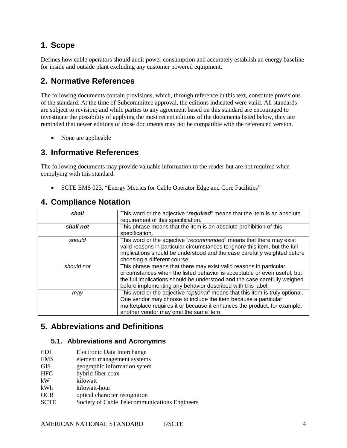## **1. Scope**

Defines how cable operators should audit power consumption and accurately establish an energy baseline for inside and outside plant excluding any customer powered equipment.

## **2. Normative References**

The following documents contain provisions, which, through reference in this text, constitute provisions of the standard. At the time of Subcommittee approval, the editions indicated were valid. All standards are subject to revision; and while parties to any agreement based on this standard are encouraged to investigate the possibility of applying the most recent editions of the documents listed below, they are reminded that newer editions of those documents may not be compatible with the referenced version.

• None are applicable

## **3. Informative References**

The following documents may provide valuable information to the reader but are not required when complying with this standard.

• SCTE EMS 023, "Energy Metrics for Cable Operator Edge and Core Facilities"

| shall      | This word or the adjective "required" means that the item is an absolute<br>requirement of this specification.                                                                                                                                                                             |
|------------|--------------------------------------------------------------------------------------------------------------------------------------------------------------------------------------------------------------------------------------------------------------------------------------------|
| shall not  | This phrase means that the item is an absolute prohibition of this<br>specification.                                                                                                                                                                                                       |
| should     | This word or the adjective "recommended" means that there may exist<br>valid reasons in particular circumstances to ignore this item, but the full<br>implications should be understood and the case carefully weighted before<br>choosing a different course.                             |
| should not | This phrase means that there may exist valid reasons in particular<br>circumstances when the listed behavior is acceptable or even useful, but<br>the full implications should be understood and the case carefully weighed<br>before implementing any behavior described with this label. |
| may        | This word or the adjective "optional" means that this item is truly optional.<br>One vendor may choose to include the item because a particular<br>marketplace requires it or because it enhances the product, for example;<br>another vendor may omit the same item.                      |

## **4. Compliance Notation**

## **5. Abbreviations and Definitions**

#### **5.1. Abbreviations and Acronymns**

- EMS element management systems
- GIS geographic information sytem
- HFC hybrid fiber coax
- kW kilowatt
- kWh kilowatt-hour
- OCR optical character recognition
- SCTE Society of Cable Telecommunications Engineers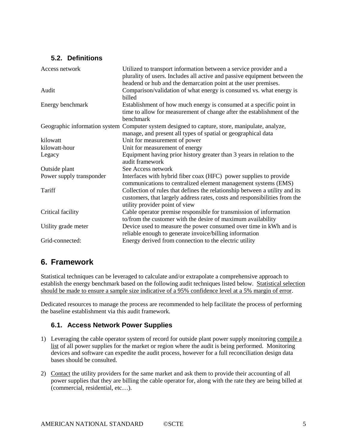#### **5.2. Definitions**

| Access network           | Utilized to transport information between a service provider and a<br>plurality of users. Includes all active and passive equipment between the                                             |
|--------------------------|---------------------------------------------------------------------------------------------------------------------------------------------------------------------------------------------|
|                          | headend or hub and the demarcation point at the user premises.                                                                                                                              |
| Audit                    | Comparison/validation of what energy is consumed vs. what energy is<br>billed                                                                                                               |
| Energy benchmark         | Establishment of how much energy is consumed at a specific point in<br>time to allow for measurement of change after the establishment of the                                               |
|                          | benchmark                                                                                                                                                                                   |
|                          | Geographic information system Computer system designed to capture, store, manipulate, analyze,<br>manage, and present all types of spatial or geographical data                             |
| kilowatt                 | Unit for measurement of power                                                                                                                                                               |
| kilowatt-hour            | Unit for measurement of energy                                                                                                                                                              |
| Legacy                   | Equipment having prior history greater than 3 years in relation to the<br>audit framework                                                                                                   |
| Outside plant            | See Access network                                                                                                                                                                          |
| Power supply transponder | Interfaces with hybrid fiber coax (HFC) power supplies to provide<br>communications to centralized element management systems (EMS)                                                         |
| Tariff                   | Collection of rules that defines the relationship between a utility and its<br>customers, that largely address rates, costs and responsibilities from the<br>utility provider point of view |
| Critical facility        | Cable operator premise responsible for transmission of information<br>to/from the customer with the desire of maximum availability                                                          |
| Utility grade meter      | Device used to measure the power consumed over time in kWh and is<br>reliable enough to generate invoice/billing information                                                                |
| Grid-connected:          | Energy derived from connection to the electric utility                                                                                                                                      |

## **6. Framework**

Statistical techniques can be leveraged to calculate and/or extrapolate a comprehensive approach to establish the energy benchmark based on the following audit techniques listed below. Statistical selection should be made to ensure a sample size indicative of a 95% confidence level at a 5% margin of error.

Dedicated resources to manage the process are recommended to help facilitate the process of performing the baseline establishment via this audit framework.

#### **6.1. Access Network Power Supplies**

- 1) Leveraging the cable operator system of record for outside plant power supply monitoring compile a list of all power supplies for the market or region where the audit is being performed. Monitoring devices and software can expedite the audit process, however for a full reconciliation design data bases should be consulted.
- 2) Contact the utility providers for the same market and ask them to provide their accounting of all power supplies that they are billing the cable operator for, along with the rate they are being billed at (commercial, residential, etc…).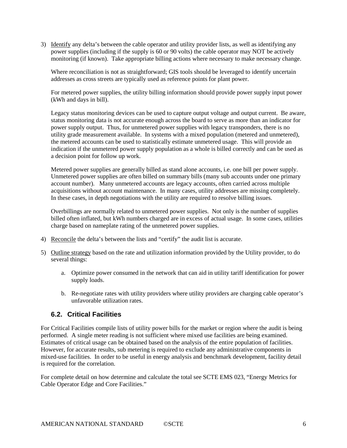3) Identify any delta's between the cable operator and utility provider lists, as well as identifying any power supplies (including if the supply is 60 or 90 volts) the cable operator may NOT be actively monitoring (if known). Take appropriate billing actions where necessary to make necessary change.

Where reconciliation is not as straightforward; GIS tools should be leveraged to identify uncertain addresses as cross streets are typically used as reference points for plant power.

For metered power supplies, the utility billing information should provide power supply input power (kWh and days in bill).

Legacy status monitoring devices can be used to capture output voltage and output current. Be aware, status monitoring data is not accurate enough across the board to serve as more than an indicator for power supply output. Thus, for unmetered power supplies with legacy transponders, there is no utility grade measurement available. In systems with a mixed population (metered and unmetered), the metered accounts can be used to statistically estimate unmetered usage. This will provide an indication if the unmetered power supply population as a whole is billed correctly and can be used as a decision point for follow up work.

Metered power supplies are generally billed as stand alone accounts, i.e. one bill per power supply. Unmetered power supplies are often billed on summary bills (many sub accounts under one primary account number). Many unmetered accounts are legacy accounts, often carried across multiple acquisitions without account maintenance. In many cases, utility addresses are missing completely. In these cases, in depth negotiations with the utility are required to resolve billing issues.

Overbillings are normally related to unmetered power supplies. Not only is the number of supplies billed often inflated, but kWh numbers charged are in excess of actual usage. In some cases, utilities charge based on nameplate rating of the unmetered power supplies.

- 4) Reconcile the delta's between the lists and "certify" the audit list is accurate.
- 5) Outline strategy based on the rate and utilization information provided by the Utility provider, to do several things:
	- a. Optimize power consumed in the network that can aid in utility tariff identification for power supply loads.
	- b. Re-negotiate rates with utility providers where utility providers are charging cable operator's unfavorable utilization rates.

#### **6.2. Critical Facilities**

For Critical Facilities compile lists of utility power bills for the market or region where the audit is being performed. A single meter reading is not sufficient where mixed use facilities are being examined. Estimates of critical usage can be obtained based on the analysis of the entire population of facilities. However, for accurate results, sub metering is required to exclude any administrative components in mixed-use facilities. In order to be useful in energy analysis and benchmark development, facility detail is required for the correlation.

For complete detail on how determine and calculate the total see SCTE EMS 023, "Energy Metrics for Cable Operator Edge and Core Facilities."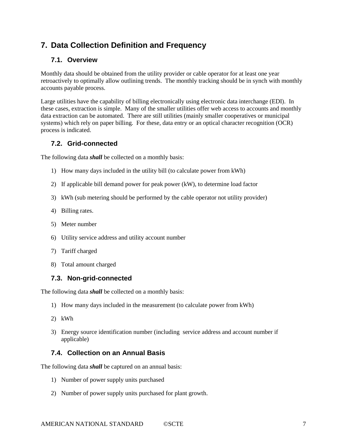## **7. Data Collection Definition and Frequency**

#### **7.1. Overview**

Monthly data should be obtained from the utility provider or cable operator for at least one year retroactively to optimally allow outlining trends. The monthly tracking should be in synch with monthly accounts payable process.

Large utilities have the capability of billing electronically using electronic data interchange (EDI). In these cases, extraction is simple. Many of the smaller utilities offer web access to accounts and monthly data extraction can be automated. There are still utilities (mainly smaller cooperatives or municipal systems) which rely on paper billing. For these, data entry or an optical character recognition (OCR) process is indicated.

#### **7.2. Grid-connected**

The following data *shall* be collected on a monthly basis:

- 1) How many days included in the utility bill (to calculate power from kWh)
- 2) If applicable bill demand power for peak power (kW), to determine load factor
- 3) kWh (sub metering should be performed by the cable operator not utility provider)
- 4) Billing rates.
- 5) Meter number
- 6) Utility service address and utility account number
- 7) Tariff charged
- 8) Total amount charged

#### **7.3. Non-grid-connected**

The following data *shall* be collected on a monthly basis:

- 1) How many days included in the measurement (to calculate power from kWh)
- 2) kWh
- 3) Energy source identification number (including service address and account number if applicable)

#### **7.4. Collection on an Annual Basis**

The following data *shall* be captured on an annual basis:

- 1) Number of power supply units purchased
- 2) Number of power supply units purchased for plant growth.